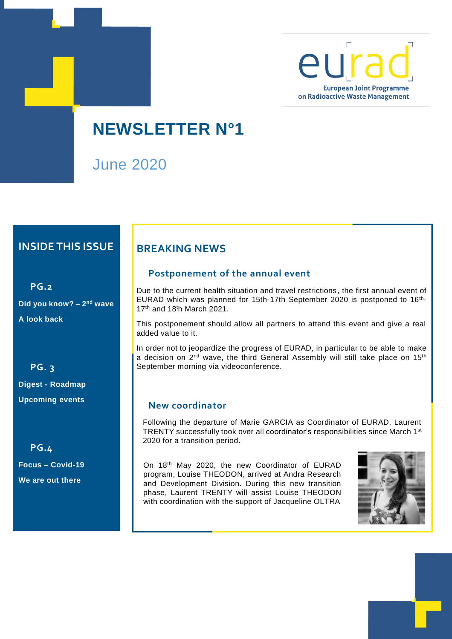

**NEWSLETTER N°1**

June 2020

## **INSIDE THIS ISSUE**

**PG.2 Did you know?** – 2<sup>nd</sup> wave **A look back**

**PG. 3 Digest - Roadmap Upcoming events**

**PG.4 Focus – Covid-19 We are out there** 

## **BREAKING NEWS**

### **Postponement of the annual event**

Due to the current health situation and travel restrictions, the first annual event of EURAD which was planned for 15th-17th September 2020 is postponed to 16<sup>th</sup>-17th and 18<sup>t</sup>h March 2021.

This postponement should allow all partners to attend this event and give a real added value to it.

In order not to jeopardize the progress of EURAD, in particular to be able to make a decision on 2nd wave, the third General Assembly will still take place on 15th September morning via videoconference.

### **New coordinator**

. Following the departure of Marie GARCIA as Coordinator of EURAD, Laurent TRENTY successfully took over all coordinator's responsibilities since March 1st 2020 for a transition period.

On 18th May 2020, the new Coordinator of EURAD program, Louise THEODON, arrived at Andra Research and Development Division. During this new transition phase, Laurent TRENTY will assist Louise THEODON with coordination with the support of Jacqueline OLTRA

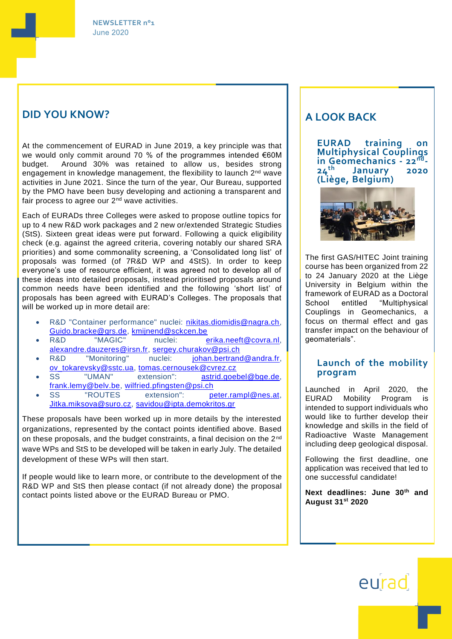### **DID YOU KNOW?**

At the commencement of EURAD in June 2019, a key principle was that we would only commit around 70 % of the programmes intended €60M budget. Around 30% was retained to allow us, besides strong engagement in knowledge management, the flexibility to launch 2<sup>nd</sup> wave activities in June 2021. Since the turn of the year, Our Bureau, supported by the PMO have been busy developing and actioning a transparent and fair process to agree our 2<sup>nd</sup> wave activities.

Each of EURADs three Colleges were asked to propose outline topics for up to 4 new R&D work packages and 2 new or/extended Strategic Studies (StS). Sixteen great ideas were put forward. Following a quick eligibility check (e.g. against the agreed criteria, covering notably our shared SRA priorities) and some commonality screening, a 'Consolidated long list' of proposals was formed (of 7R&D WP and 4StS). In order to keep everyone's use of resource efficient, it was agreed not to develop all of these ideas into detailed proposals, instead prioritised proposals around common needs have been identified and the following 'short list' of proposals has been agreed with EURAD's Colleges. The proposals that will be worked up in more detail are:

- R&D "Container performance" nuclei: [nikitas.diomidis@nagra.ch,](mailto:nikitas.diomidis@nagra.ch) [Guido.bracke@grs.de,](mailto:Guido.bracke@grs.de) [kmijnend@sckcen.be](mailto:kmijnend@sckcen.be)
- R&D "MAGIC" nuclei: [erika.neeft@covra.nl,](mailto:erika.neeft@covra.nl) [alexandre.dauzeres@irsn.fr,](mailto:alexandre.dauzeres@irsn.fr) [sergey.churakov@psi.ch](mailto:sergey.churakov@psi.ch)
- R&D "Monitoring" nuclei: [johan.bertrand@andra.fr,](mailto:johan.bertrand@andra.fr) [ov\\_tokarevsky@sstc.ua,](mailto:ov_tokarevsky@sstc.ua) [tomas.cernousek@cvrez.cz](mailto:tomas.cernousek@cvrez.cz)
- SS "UMAN" extension": [astrid.goebel@bge.de,](mailto:astrid.goebel@bge.de) [frank.lemy@belv.be,](mailto:frank.lemy@belv.be) [wilfried.pfingsten@psi.ch](mailto:wilfried.pfingsten@psi.ch)
- SS "ROUTES extension": [peter.rampl@nes.at,](mailto:peter.rampl@nes.at) [Jitka.miksova@suro.cz,](mailto:Jitka.miksova@suro.cz) [savidou@ipta.demokritos.gr](mailto:savidou@ipta.demokritos.gr)

These proposals have been worked up in more details by the interested organizations, represented by the contact points identified above. Based on these proposals, and the budget constraints, a final decision on the 2nd wave WPs and StS to be developed will be taken in early July. The detailed development of these WPs will then start.

If people would like to learn more, or contribute to the development of the R&D WP and StS then please contact (if not already done) the proposal contact points listed above or the EURAD Bureau or PMO.

### **A LOOK BACK**

**EURAD training on Multiphysical Couplings in Geomechanics - 22nd - 24th January 2020 (Liège, Belgium)**



The first GAS/HITEC Joint training course has been organized from 22 to 24 January 2020 at the Liège University in Belgium within the framework of EURAD as a Doctoral<br>School entitled "Multiphysical School entitled "Multiphysical Couplings in Geomechanics, a focus on thermal effect and gas transfer impact on the behaviour of geomaterials".

### **Launch of the mobility program**

Launched in April 2020, the EURAD Mobility Program is intended to support individuals who would like to further develop their knowledge and skills in the field of Radioactive Waste Management including deep geological disposal.

Following the first deadline, one application was received that led to one successful candidate!

**Next deadlines: June 30th and August 31st 2020**

# eurad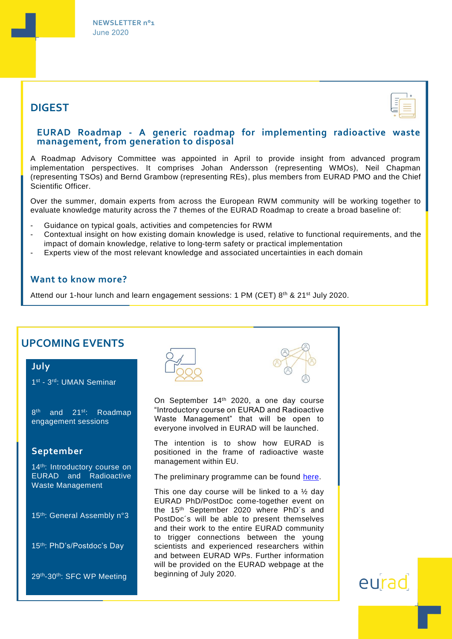

## **DIGEST**



### **EURAD Roadmap - A generic roadmap for implementing radioactive waste management, from generation to disposal**

A Roadmap Advisory Committee was appointed in April to provide insight from advanced program implementation perspectives. It comprises Johan Andersson (representing WMOs), Neil Chapman (representing TSOs) and Bernd Grambow (representing REs), plus members from EURAD PMO and the Chief Scientific Officer.

Over the summer, domain experts from across the European RWM community will be working together to evaluate knowledge maturity across the 7 themes of the EURAD Roadmap to create a broad baseline of:

- Guidance on typical goals, activities and competencies for RWM
- Contextual insight on how existing domain knowledge is used, relative to functional requirements, and the impact of domain knowledge, relative to long-term safety or practical implementation
- Experts view of the most relevant knowledge and associated uncertainties in each domain

### **Want to know more?**

Attend our 1-hour lunch and learn engagement sessions: 1 PM (CET)  $8<sup>th</sup>$  & 21<sup>st</sup> July 2020.

| On September 14 <sup>th</sup> 2020, a one day course<br>"Introductory course on EURAD and Radioactive<br>Roadmap<br>Waste Management" that will be open to<br>everyone involved in EURAD will be launched.                                                                           |                                               |
|--------------------------------------------------------------------------------------------------------------------------------------------------------------------------------------------------------------------------------------------------------------------------------------|-----------------------------------------------|
| The intention is to show how EURAD is<br>positioned in the frame of radioactive waste<br>management within EU.<br>14th: Introductory course on<br>EURAD and Radioactive<br>The preliminary programme can be found here.<br>This one day course will be linked to a $\frac{1}{2}$ day |                                               |
| EURAD PhD/PostDoc come-together event on<br>the 15 <sup>th</sup> September 2020 where PhD's and<br>PostDoc's will be able to present themselves<br>and their work to the entire EURAD community<br>to trigger connections between the young                                          |                                               |
| and between EURAD WPs. Further information<br>will be provided on the EURAD webpage at the<br>beginning of July 2020.                                                                                                                                                                |                                               |
|                                                                                                                                                                                                                                                                                      | scientists and experienced researchers within |

# eurad